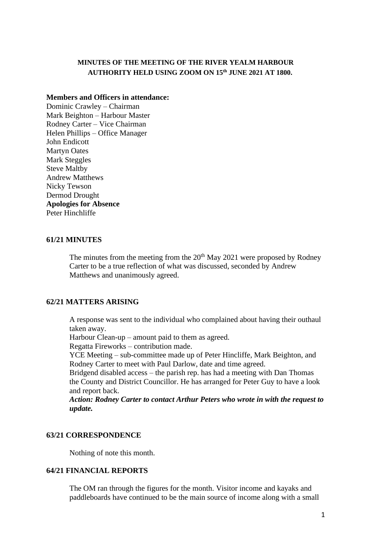### **MINUTES OF THE MEETING OF THE RIVER YEALM HARBOUR AUTHORITY HELD USING ZOOM ON 15th JUNE 2021 AT 1800.**

### **Members and Officers in attendance:**

Dominic Crawley – Chairman Mark Beighton – Harbour Master Rodney Carter – Vice Chairman Helen Phillips – Office Manager John Endicott Martyn Oates Mark Steggles Steve Maltby Andrew Matthews Nicky Tewson Dermod Drought **Apologies for Absence** Peter Hinchliffe

#### **61/21 MINUTES**

The minutes from the meeting from the  $20<sup>th</sup>$  May 2021 were proposed by Rodney Carter to be a true reflection of what was discussed, seconded by Andrew Matthews and unanimously agreed.

### **62/21 MATTERS ARISING**

A response was sent to the individual who complained about having their outhaul taken away.

Harbour Clean-up – amount paid to them as agreed.

Regatta Fireworks – contribution made.

YCE Meeting – sub-committee made up of Peter Hincliffe, Mark Beighton, and Rodney Carter to meet with Paul Darlow, date and time agreed.

Bridgend disabled access – the parish rep. has had a meeting with Dan Thomas the County and District Councillor. He has arranged for Peter Guy to have a look and report back.

*Action: Rodney Carter to contact Arthur Peters who wrote in with the request to update.*

### **63/21 CORRESPONDENCE**

Nothing of note this month.

### **64/21 FINANCIAL REPORTS**

The OM ran through the figures for the month. Visitor income and kayaks and paddleboards have continued to be the main source of income along with a small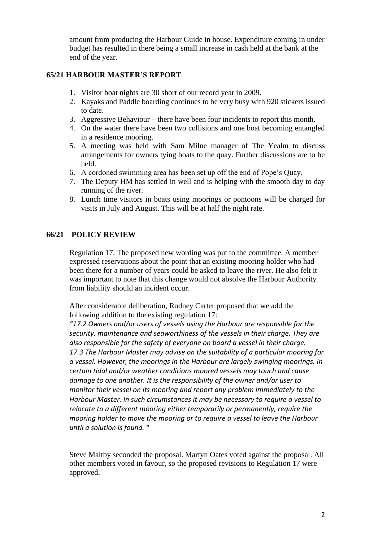amount from producing the Harbour Guide in house. Expenditure coming in under budget has resulted in there being a small increase in cash held at the bank at the end of the year.

# **65/21 HARBOUR MASTER'S REPORT**

- 1. Visitor boat nights are 30 short of our record year in 2009.
- 2. Kayaks and Paddle boarding continues to be very busy with 920 stickers issued to date.
- 3. Aggressive Behaviour there have been four incidents to report this month.
- 4. On the water there have been two collisions and one boat becoming entangled in a residence mooring.
- 5. A meeting was held with Sam Milne manager of The Yealm to discuss arrangements for owners tying boats to the quay. Further discussions are to be held.
- 6. A cordoned swimming area has been set up off the end of Pope's Quay.
- 7. The Deputy HM has settled in well and is helping with the smooth day to day running of the river.
- 8. Lunch time visitors in boats using moorings or pontoons will be charged for visits in July and August. This will be at half the night rate.

# **66/21 POLICY REVIEW**

Regulation 17. The proposed new wording was put to the committee. A member expressed reservations about the point that an existing mooring holder who had been there for a number of years could be asked to leave the river. He also felt it was important to note that this change would not absolve the Harbour Authority from liability should an incident occur.

After considerable deliberation, Rodney Carter proposed that we add the following addition to the existing regulation 17:

*"17.2 Owners and/or users of vessels using the Harbour are responsible for the security. maintenance and seaworthiness of the vessels in their charge. They are also responsible for the safety of everyone on board a vessel in their charge. 17.3 The Harbour Master may advise on the suitability of a particular mooring for a vessel. However, the moorings in the Harbour are largely swinging moorings. In certain tidal and/or weather conditions moored vessels may touch and cause damage to one another. It is the responsibility of the owner and/or user to monitor their vessel on its mooring and report any problem immediately to the Harbour Master. In such circumstances it may be necessary to require a vessel to relocate to a different mooring either temporarily or permanently, require the mooring holder to move the mooring or to require a vessel to leave the Harbour until a solution is found.* "

Steve Maltby seconded the proposal. Martyn Oates voted against the proposal. All other members voted in favour, so the proposed revisions to Regulation 17 were approved.